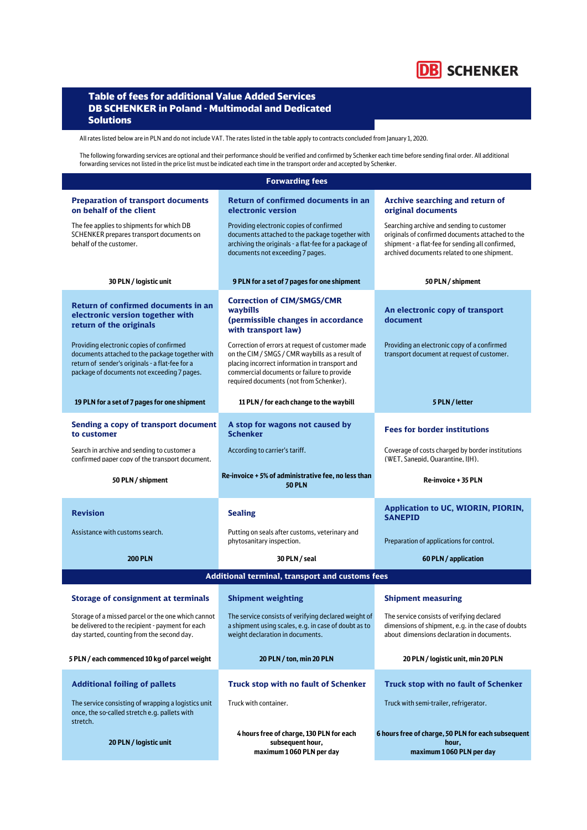

## Table of fees for additional Value Added Services DB SCHENKER in Poland - Multimodal and Dedicated **Solutions**

All rates listed below are in PLN and do not include VAT. The rates listed in the table apply to contracts concluded from January 1, 2020.

The following forwarding services are optional and their performance should be verified and confirmed by Schenker each time before sending final order. All additional forwarding services not listed in the price list must be indicated each time in the transport order and accepted by Schenker.

| <b>Forwarding fees</b>                                                                                                                                                                        |                                                                                                                                                                                                                                                |                                                                                                                                                                                                  |  |
|-----------------------------------------------------------------------------------------------------------------------------------------------------------------------------------------------|------------------------------------------------------------------------------------------------------------------------------------------------------------------------------------------------------------------------------------------------|--------------------------------------------------------------------------------------------------------------------------------------------------------------------------------------------------|--|
| <b>Preparation of transport documents</b><br>on behalf of the client                                                                                                                          | <b>Return of confirmed documents in an</b><br>electronic version                                                                                                                                                                               | Archive searching and return of<br>original documents                                                                                                                                            |  |
| The fee applies to shipments for which DB<br>SCHENKER prepares transport documents on<br>behalf of the customer.                                                                              | Providing electronic copies of confirmed<br>documents attached to the package together with<br>archiving the originals - a flat-fee for a package of<br>documents not exceeding 7 pages.                                                       | Searching archive and sending to customer<br>originals of confirmed documents attached to the<br>shipment - a flat-fee for sending all confirmed,<br>archived documents related to one shipment. |  |
| 30 PLN / logistic unit                                                                                                                                                                        | 9 PLN for a set of 7 pages for one shipment                                                                                                                                                                                                    | 50 PLN / shipment                                                                                                                                                                                |  |
| <b>Return of confirmed documents in an</b><br>electronic version together with<br>return of the originals                                                                                     | <b>Correction of CIM/SMGS/CMR</b><br>waybills<br>(permissible changes in accordance<br>with transport law)                                                                                                                                     | An electronic copy of transport<br>document                                                                                                                                                      |  |
| Providing electronic copies of confirmed<br>documents attached to the package together with<br>return of sender's originals - a flat-fee for a<br>package of documents not exceeding 7 pages. | Correction of errors at request of customer made<br>on the CIM / SMGS / CMR waybills as a result of<br>placing incorrect information in transport and<br>commercial documents or failure to provide<br>required documents (not from Schenker). | Providing an electronic copy of a confirmed<br>transport document at request of customer.                                                                                                        |  |
| 19 PLN for a set of 7 pages for one shipment                                                                                                                                                  | 11 PLN / for each change to the waybill                                                                                                                                                                                                        | 5 PLN / letter                                                                                                                                                                                   |  |
| Sending a copy of transport document<br>to customer                                                                                                                                           | A stop for wagons not caused by<br><b>Schenker</b>                                                                                                                                                                                             | <b>Fees for border institutions</b>                                                                                                                                                              |  |
| Search in archive and sending to customer a<br>confirmed paper copy of the transport document.                                                                                                | According to carrier's tariff.                                                                                                                                                                                                                 | Coverage of costs charged by border institutions<br>(WET, Sanepid, Quarantine, IIH).                                                                                                             |  |
| 50 PLN / shipment                                                                                                                                                                             | Re-invoice + 5% of administrative fee, no less than<br><b>50 PLN</b>                                                                                                                                                                           | Re-invoice + 35 PLN                                                                                                                                                                              |  |
| <b>Revision</b>                                                                                                                                                                               | <b>Sealing</b>                                                                                                                                                                                                                                 | Application to UC, WIORIN, PIORIN,<br><b>SANEPID</b>                                                                                                                                             |  |
| Assistance with customs search.                                                                                                                                                               | Putting on seals after customs, veterinary and<br>phytosanitary inspection.                                                                                                                                                                    | Preparation of applications for control.                                                                                                                                                         |  |
| <b>200 PLN</b>                                                                                                                                                                                | 30 PLN / seal                                                                                                                                                                                                                                  | 60 PLN / application                                                                                                                                                                             |  |
| Additional terminal, transport and customs fees                                                                                                                                               |                                                                                                                                                                                                                                                |                                                                                                                                                                                                  |  |
| <b>Storage of consignment at terminals</b>                                                                                                                                                    | <b>Shipment weighting</b>                                                                                                                                                                                                                      | <b>Shipment measuring</b>                                                                                                                                                                        |  |
| Storage of a missed parcel or the one which cannot<br>be delivered to the recipient - payment for each<br>day started, counting from the second day.                                          | The service consists of verifying declared weight of<br>a shipment using scales, e.g. in case of doubt as to<br>weight declaration in documents.                                                                                               | The service consists of verifying declared<br>dimensions of shipment, e.g. in the case of doubts<br>about dimensions declaration in documents.                                                   |  |
| 5 PLN / each commenced 10 kg of parcel weight                                                                                                                                                 | 20 PLN / ton, min 20 PLN                                                                                                                                                                                                                       | 20 PLN / logistic unit, min 20 PLN                                                                                                                                                               |  |
| <b>Additional foiling of pallets</b>                                                                                                                                                          | <b>Truck stop with no fault of Schenker</b>                                                                                                                                                                                                    | <b>Truck stop with no fault of Schenker</b>                                                                                                                                                      |  |
| The service consisting of wrapping a logistics unit<br>once, the so-called stretch e.g. pallets with<br>stretch.                                                                              | Truck with container.                                                                                                                                                                                                                          | Truck with semi-trailer, refrigerator.                                                                                                                                                           |  |
| 20 PLN / logistic unit                                                                                                                                                                        | 4 hours free of charge, 130 PLN for each<br>subsequent hour,<br>maximum 1060 PLN per day                                                                                                                                                       | 6 hours free of charge, 50 PLN for each subsequent<br>hour,<br>maximum 1060 PLN per day                                                                                                          |  |